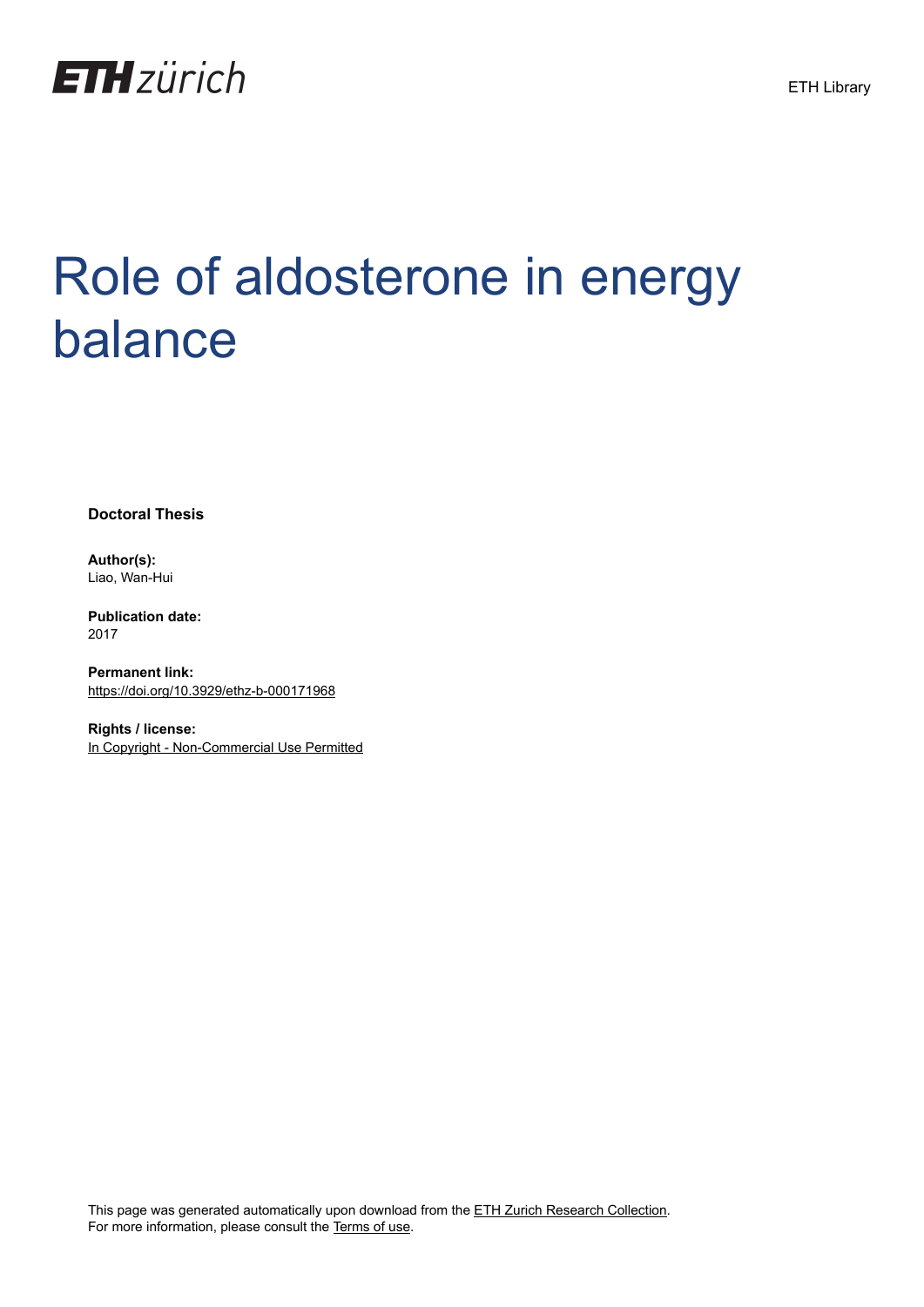

## Role of aldosterone in energy balance

**Doctoral Thesis**

**Author(s):** Liao, Wan-Hui

**Publication date:** 2017

**Permanent link:** <https://doi.org/10.3929/ethz-b-000171968>

**Rights / license:** [In Copyright - Non-Commercial Use Permitted](http://rightsstatements.org/page/InC-NC/1.0/)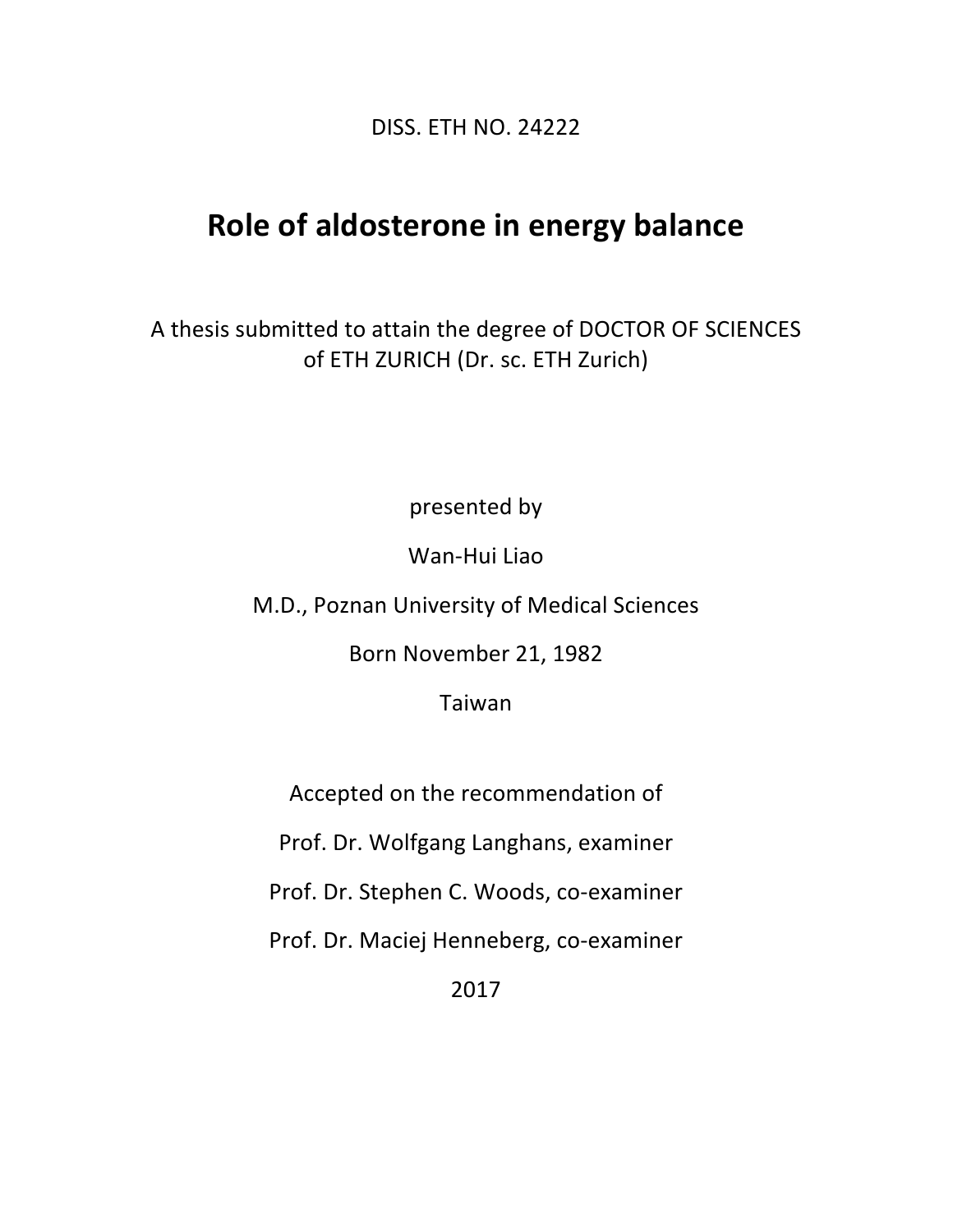DISS. ETH NO. 24222

## **Role of aldosterone in energy balance**

A thesis submitted to attain the degree of DOCTOR OF SCIENCES of ETH ZURICH (Dr. sc. ETH Zurich)

presented by

Wan-Hui Liao

M.D., Poznan University of Medical Sciences

Born%November 21, 1982

Taiwan

Accepted on the recommendation of

Prof. Dr. Wolfgang Langhans, examiner

Prof. Dr. Stephen C. Woods, co-examiner

Prof. Dr. Maciej Henneberg, co-examiner

2017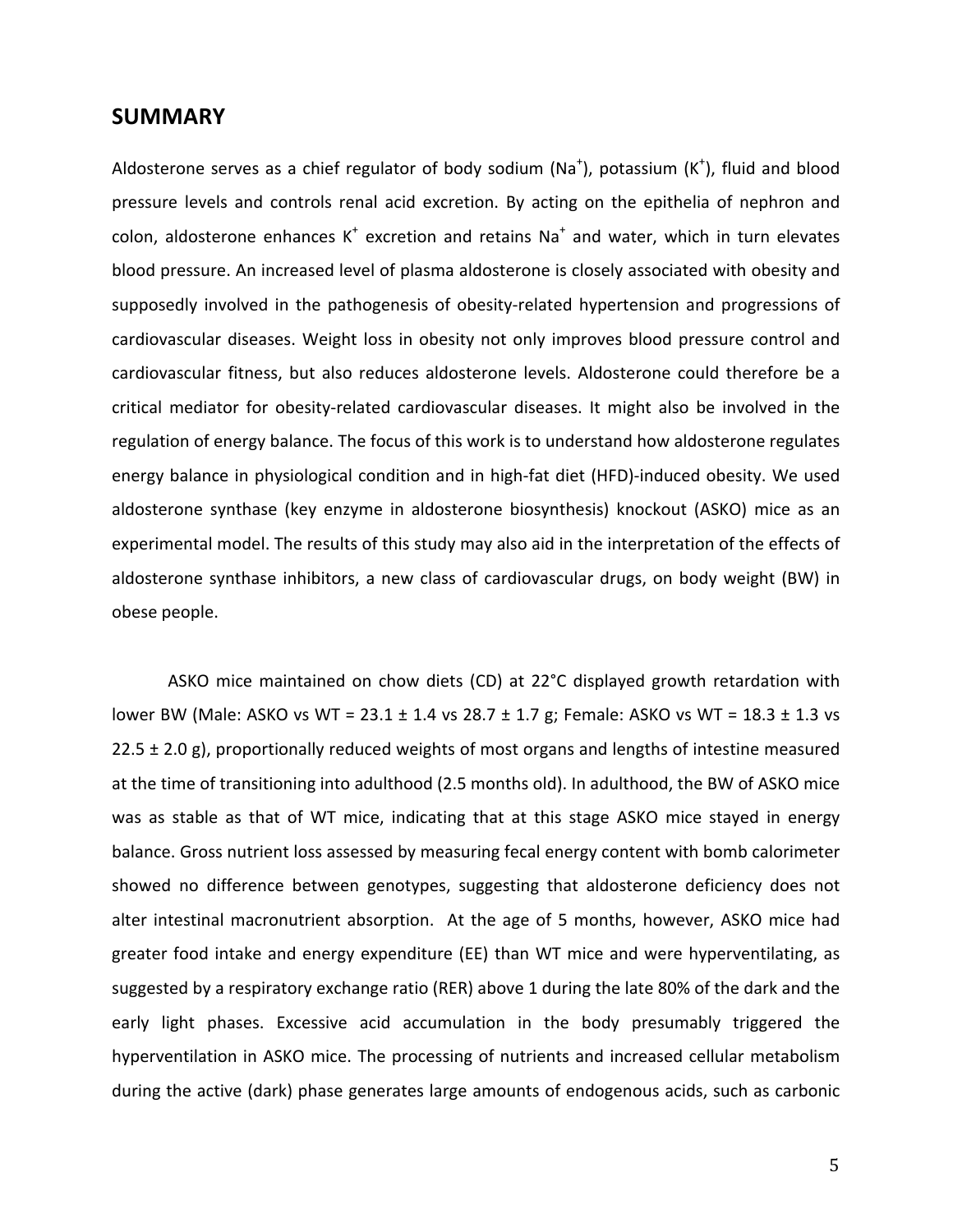## **SUMMARY**

Aldosterone serves as a chief regulator of body sodium (Na<sup>+</sup>), potassium (K<sup>+</sup>), fluid and blood pressure levels and controls renal acid excretion. By acting on the epithelia of nephron and colon, aldosterone enhances  $K^+$  excretion and retains Na<sup>+</sup> and water, which in turn elevates blood pressure. An increased level of plasma aldosterone is closely associated with obesity and supposedly involved in the pathogenesis of obesity-related hypertension and progressions of cardiovascular diseases. Weight loss in obesity not only improves blood pressure control and cardiovascular fitness, but also reduces aldosterone levels. Aldosterone could therefore be a critical mediator for obesity-related cardiovascular diseases. It might also be involved in the regulation of energy balance. The focus of this work is to understand how aldosterone regulates energy balance in physiological condition and in high-fat diet (HFD)-induced obesity. We used aldosterone synthase (key enzyme in aldosterone biosynthesis) knockout (ASKO) mice as an experimental model. The results of this study may also aid in the interpretation of the effects of aldosterone synthase inhibitors, a new class of cardiovascular drugs, on body weight (BW) in obese people.

ASKO mice maintained on chow diets (CD) at 22°C displayed growth retardation with lower BW (Male: ASKO vs WT =  $23.1 \pm 1.4$  vs  $28.7 \pm 1.7$  g; Female: ASKO vs WT =  $18.3 \pm 1.3$  vs 22.5  $\pm$  2.0 g), proportionally reduced weights of most organs and lengths of intestine measured at the time of transitioning into adulthood (2.5 months old). In adulthood, the BW of ASKO mice was as stable as that of WT mice, indicating that at this stage ASKO mice stayed in energy balance. Gross nutrient loss assessed by measuring fecal energy content with bomb calorimeter showed no difference between genotypes, suggesting that aldosterone deficiency does not alter intestinal macronutrient absorption. At the age of 5 months, however, ASKO mice had greater food intake and energy expenditure (EE) than WT mice and were hyperventilating, as suggested by a respiratory exchange ratio (RER) above 1 during the late 80% of the dark and the early light phases. Excessive acid accumulation in the body presumably triggered the hyperventilation in ASKO mice. The processing of nutrients and increased cellular metabolism during the active (dark) phase generates large amounts of endogenous acids, such as carbonic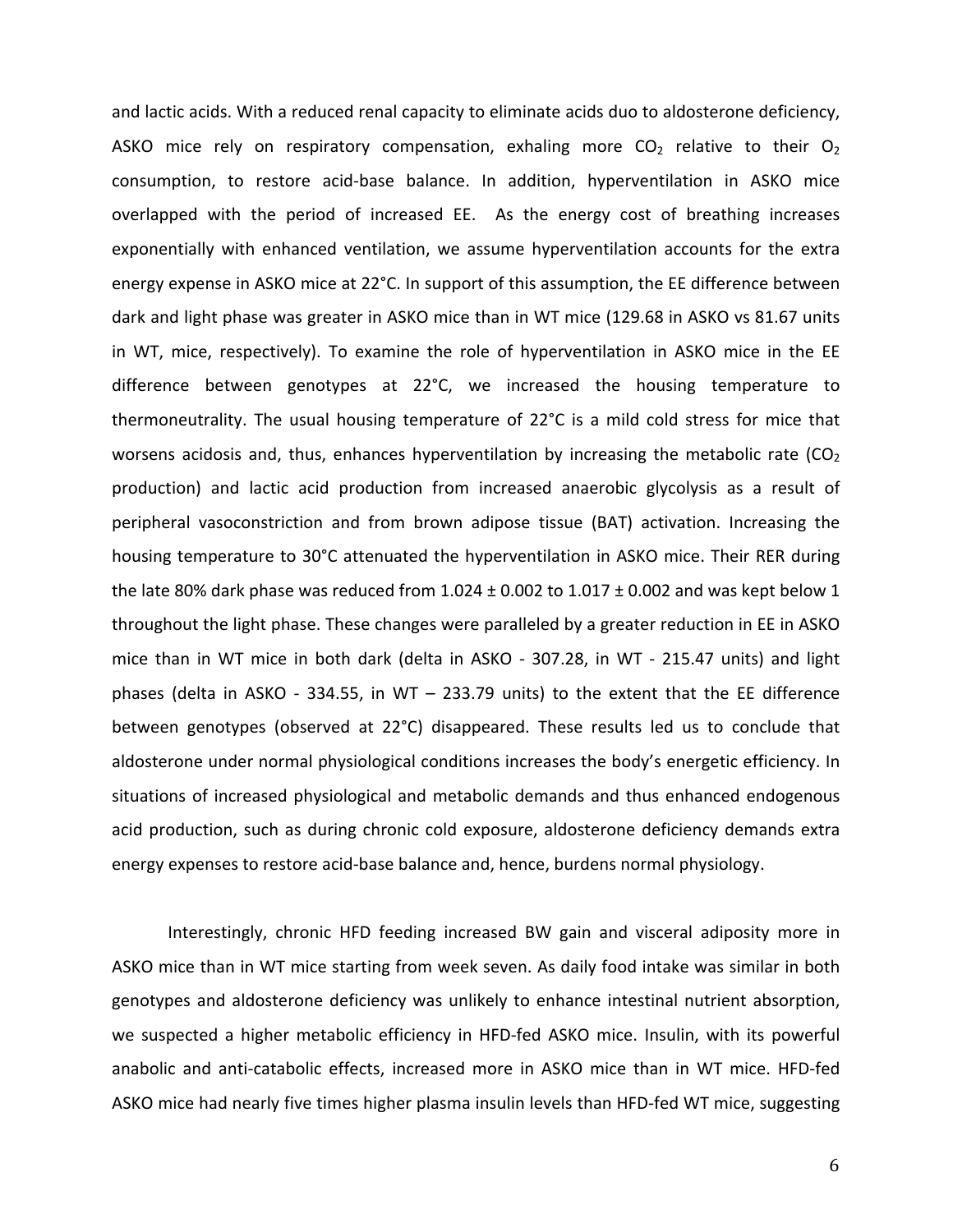and lactic acids. With a reduced renal capacity to eliminate acids duo to aldosterone deficiency, ASKO mice rely on respiratory compensation, exhaling more  $CO<sub>2</sub>$  relative to their  $O<sub>2</sub>$ consumption, to restore acid-base balance. In addition, hyperventilation in ASKO mice overlapped with the period of increased EE. As the energy cost of breathing increases exponentially with enhanced ventilation, we assume hyperventilation accounts for the extra energy expense in ASKO mice at 22°C. In support of this assumption, the EE difference between dark and light phase was greater in ASKO mice than in WT mice (129.68 in ASKO vs 81.67 units in WT, mice, respectively). To examine the role of hyperventilation in ASKO mice in the EE difference between genotypes at  $22^{\circ}$ C, we increased the housing temperature to thermoneutrality. The usual housing temperature of  $22^{\circ}C$  is a mild cold stress for mice that worsens acidosis and, thus, enhances hyperventilation by increasing the metabolic rate (CO<sub>2</sub>) production) and lactic acid production from increased anaerobic glycolysis as a result of peripheral vasoconstriction and from brown adipose tissue (BAT) activation. Increasing the housing temperature to 30°C attenuated the hyperventilation in ASKO mice. Their RER during the late 80% dark phase was reduced from  $1.024 \pm 0.002$  to  $1.017 \pm 0.002$  and was kept below 1 throughout the light phase. These changes were paralleled by a greater reduction in EE in ASKO mice than in WT mice in both dark (delta in ASKO - 307.28, in WT - 215.47 units) and light phases (delta in ASKO - 334.55, in WT – 233.79 units) to the extent that the EE difference between genotypes (observed at  $22^{\circ}$ C) disappeared. These results led us to conclude that aldosterone under normal physiological conditions increases the body's energetic efficiency. In situations of increased physiological and metabolic demands and thus enhanced endogenous acid production, such as during chronic cold exposure, aldosterone deficiency demands extra energy expenses to restore acid-base balance and, hence, burdens normal physiology.

Interestingly, chronic HFD feeding increased BW gain and visceral adiposity more in ASKO mice than in WT mice starting from week seven. As daily food intake was similar in both genotypes and aldosterone deficiency was unlikely to enhance intestinal nutrient absorption, we suspected a higher metabolic efficiency in HFD-fed ASKO mice. Insulin, with its powerful anabolic and anti-catabolic effects, increased more in ASKO mice than in WT mice. HFD-fed ASKO mice had nearly five times higher plasma insulin levels than HFD-fed WT mice, suggesting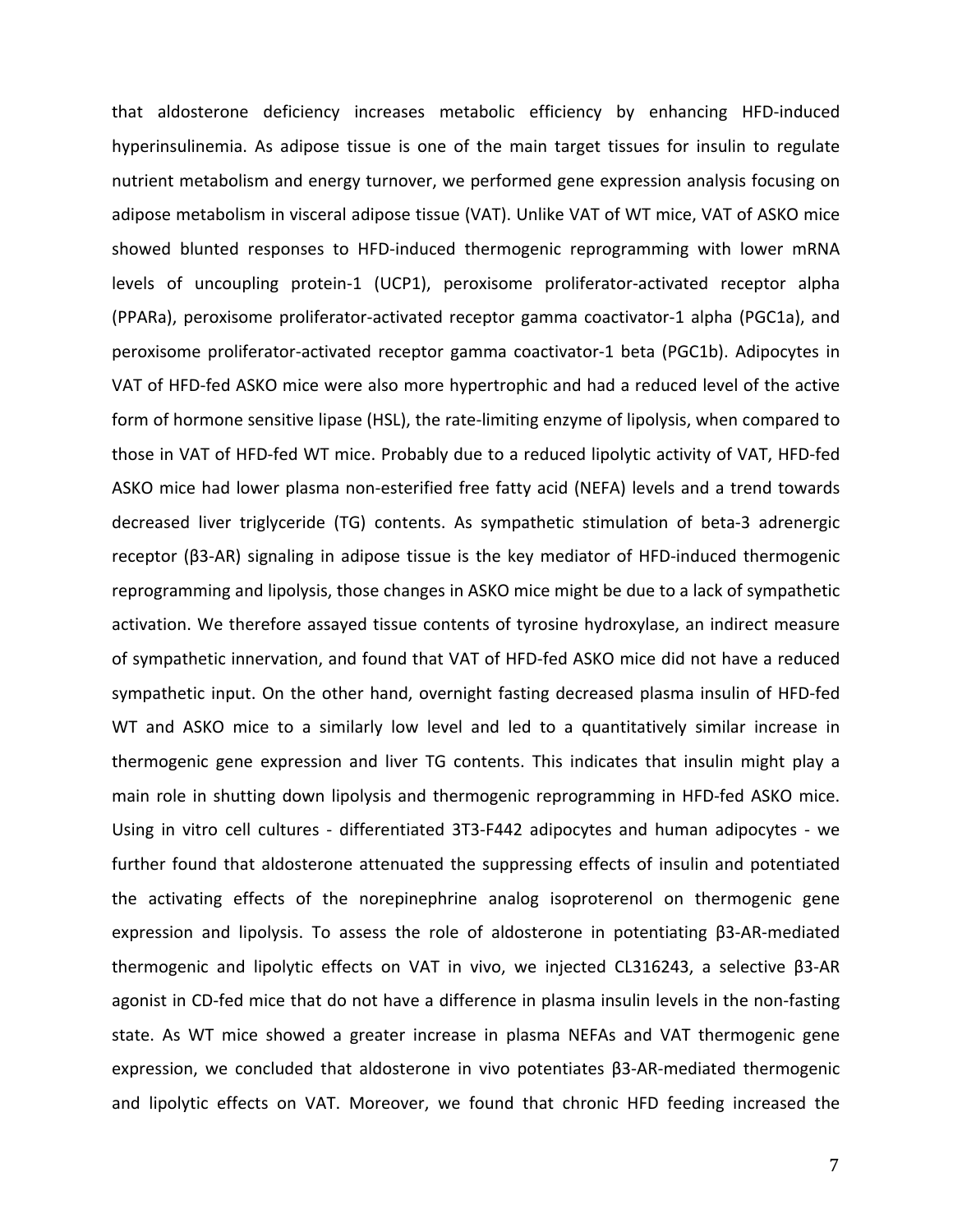that aldosterone deficiency increases metabolic efficiency by enhancing HFD-induced hyperinsulinemia. As adipose tissue is one of the main target tissues for insulin to regulate nutrient metabolism and energy turnover, we performed gene expression analysis focusing on adipose metabolism in visceral adipose tissue (VAT). Unlike VAT of WT mice, VAT of ASKO mice showed blunted responses to HFD-induced thermogenic reprogramming with lower mRNA levels of uncoupling protein-1 (UCP1), peroxisome proliferator-activated receptor alpha (PPARa), peroxisome proliferator-activated receptor gamma coactivator-1 alpha (PGC1a), and peroxisome proliferator-activated receptor gamma coactivator-1 beta (PGC1b). Adipocytes in VAT of HFD-fed ASKO mice were also more hypertrophic and had a reduced level of the active form of hormone sensitive lipase (HSL), the rate-limiting enzyme of lipolysis, when compared to those in VAT of HFD-fed WT mice. Probably due to a reduced lipolytic activity of VAT, HFD-fed ASKO mice had lower plasma non-esterified free fatty acid (NEFA) levels and a trend towards decreased liver triglyceride (TG) contents. As sympathetic stimulation of beta-3 adrenergic receptor (β3-AR) signaling in adipose tissue is the key mediator of HFD-induced thermogenic reprogramming and lipolysis, those changes in ASKO mice might be due to a lack of sympathetic activation. We therefore assayed tissue contents of tyrosine hydroxylase, an indirect measure of sympathetic innervation, and found that VAT of HFD-fed ASKO mice did not have a reduced sympathetic input. On the other hand, overnight fasting decreased plasma insulin of HFD-fed WT and ASKO mice to a similarly low level and led to a quantitatively similar increase in thermogenic gene expression and liver TG contents. This indicates that insulin might play a main role in shutting down lipolysis and thermogenic reprogramming in HFD-fed ASKO mice. Using in vitro cell cultures - differentiated 3T3-F442 adipocytes and human adipocytes - we further found that aldosterone attenuated the suppressing effects of insulin and potentiated the activating effects of the norepinephrine analog isoproterenol on thermogenic gene expression and lipolysis. To assess the role of aldosterone in potentiating β3-AR-mediated thermogenic and lipolytic effects on VAT in vivo, we injected CL316243, a selective β3-AR agonist in CD-fed mice that do not have a difference in plasma insulin levels in the non-fasting state. As WT mice showed a greater increase in plasma NEFAs and VAT thermogenic gene expression, we concluded that aldosterone in vivo potentiates β3-AR-mediated thermogenic and lipolytic effects on VAT. Moreover, we found that chronic HFD feeding increased the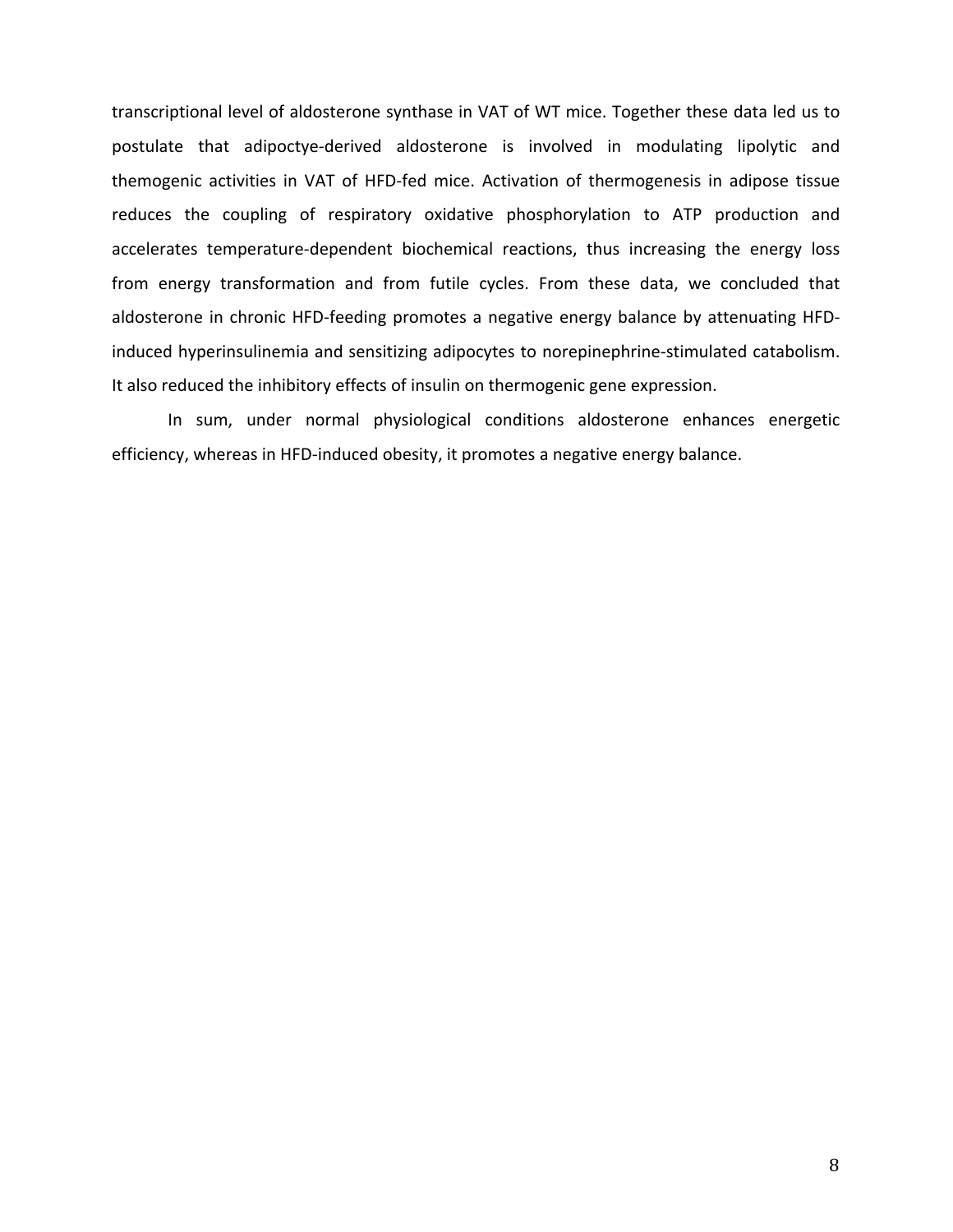transcriptional level of aldosterone synthase in VAT of WT mice. Together these data led us to postulate that adipoctye-derived aldosterone is involved in modulating lipolytic and themogenic activities in VAT of HFD-fed mice. Activation of thermogenesis in adipose tissue reduces the coupling of respiratory oxidative phosphorylation to ATP production and accelerates temperature-dependent biochemical reactions, thus increasing the energy loss from energy transformation and from futile cycles. From these data, we concluded that aldosterone in chronic HFD-feeding promotes a negative energy balance by attenuating HFDinduced hyperinsulinemia and sensitizing adipocytes to norepinephrine-stimulated catabolism. It also reduced the inhibitory effects of insulin on thermogenic gene expression.

In sum, under normal physiological conditions aldosterone enhances energetic efficiency, whereas in HFD-induced obesity, it promotes a negative energy balance.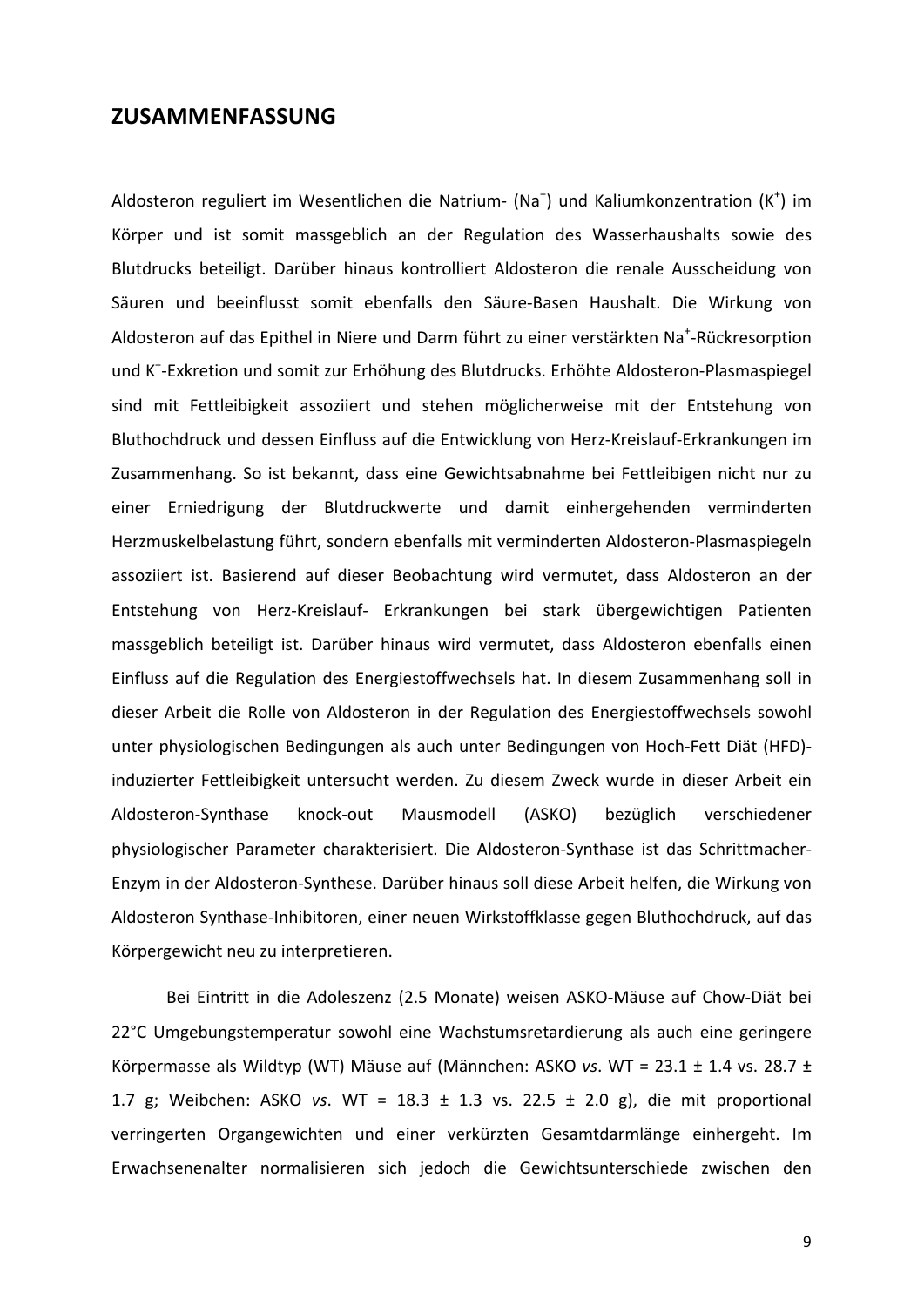## **ZUSAMMENFASSUNG**

Aldosteron reguliert im Wesentlichen die Natrium- (Na<sup>+</sup>) und Kaliumkonzentration (K<sup>+</sup>) im Körper und ist somit massgeblich an der Regulation des Wasserhaushalts sowie des Blutdrucks beteiligt. Darüber hinaus kontrolliert Aldosteron die renale Ausscheidung von Säuren und beeinflusst somit ebenfalls den Säure-Basen Haushalt. Die Wirkung von Aldosteron auf das Epithel in Niere und Darm führt zu einer verstärkten Na<sup>+</sup>-Rückresorption und K<sup>+</sup>-Exkretion und somit zur Erhöhung des Blutdrucks. Erhöhte Aldosteron-Plasmaspiegel sind mit Fettleibigkeit assoziiert und stehen möglicherweise mit der Entstehung von Bluthochdruck und dessen Einfluss auf die Entwicklung von Herz-Kreislauf-Erkrankungen im Zusammenhang. So ist bekannt, dass eine Gewichtsabnahme bei Fettleibigen nicht nur zu einer Erniedrigung der Blutdruckwerte und damit einhergehenden verminderten Herzmuskelbelastung führt, sondern ebenfalls mit verminderten Aldosteron-Plasmaspiegeln assoziiert ist. Basierend auf dieser Beobachtung wird vermutet, dass Aldosteron an der Entstehung von Herz-Kreislauf- Erkrankungen bei stark übergewichtigen Patienten massgeblich beteiligt ist. Darüber hinaus wird vermutet, dass Aldosteron ebenfalls einen Einfluss auf die Regulation des Energiestoffwechsels hat. In diesem Zusammenhang soll in dieser Arbeit die Rolle von Aldosteron in der Regulation des Energiestoffwechsels sowohl unter physiologischen Bedingungen als auch unter Bedingungen von Hoch-Fett Diät (HFD)induzierter Fettleibigkeit untersucht werden. Zu diesem Zweck wurde in dieser Arbeit ein Aldosteron-Synthase knock-out Mausmodell (ASKO) bezüglich verschiedener physiologischer Parameter charakterisiert. Die Aldosteron-Synthase ist das Schrittmacher-Enzym in der Aldosteron-Synthese. Darüber hinaus soll diese Arbeit helfen, die Wirkung von Aldosteron Synthase-Inhibitoren, einer neuen Wirkstoffklasse gegen Bluthochdruck, auf das Körpergewicht neu zu interpretieren.

Bei Eintritt in die Adoleszenz (2.5 Monate) weisen ASKO-Mäuse auf Chow-Diät bei 22°C Umgebungstemperatur sowohl eine Wachstumsretardierung als auch eine geringere Körpermasse als Wildtyp (WT) Mäuse auf (Männchen: ASKO *vs*. WT = 23.1 ± 1.4 vs. 28.7 ± 1.7 g; Weibchen: ASKO *vs*. WT = 18.3 ± 1.3 vs. 22.5 ± 2.0 g), die mit proportional verringerten Organgewichten und einer verkürzten Gesamtdarmlänge einhergeht. Im Erwachsenenalter normalisieren sich jedoch die Gewichtsunterschiede zwischen den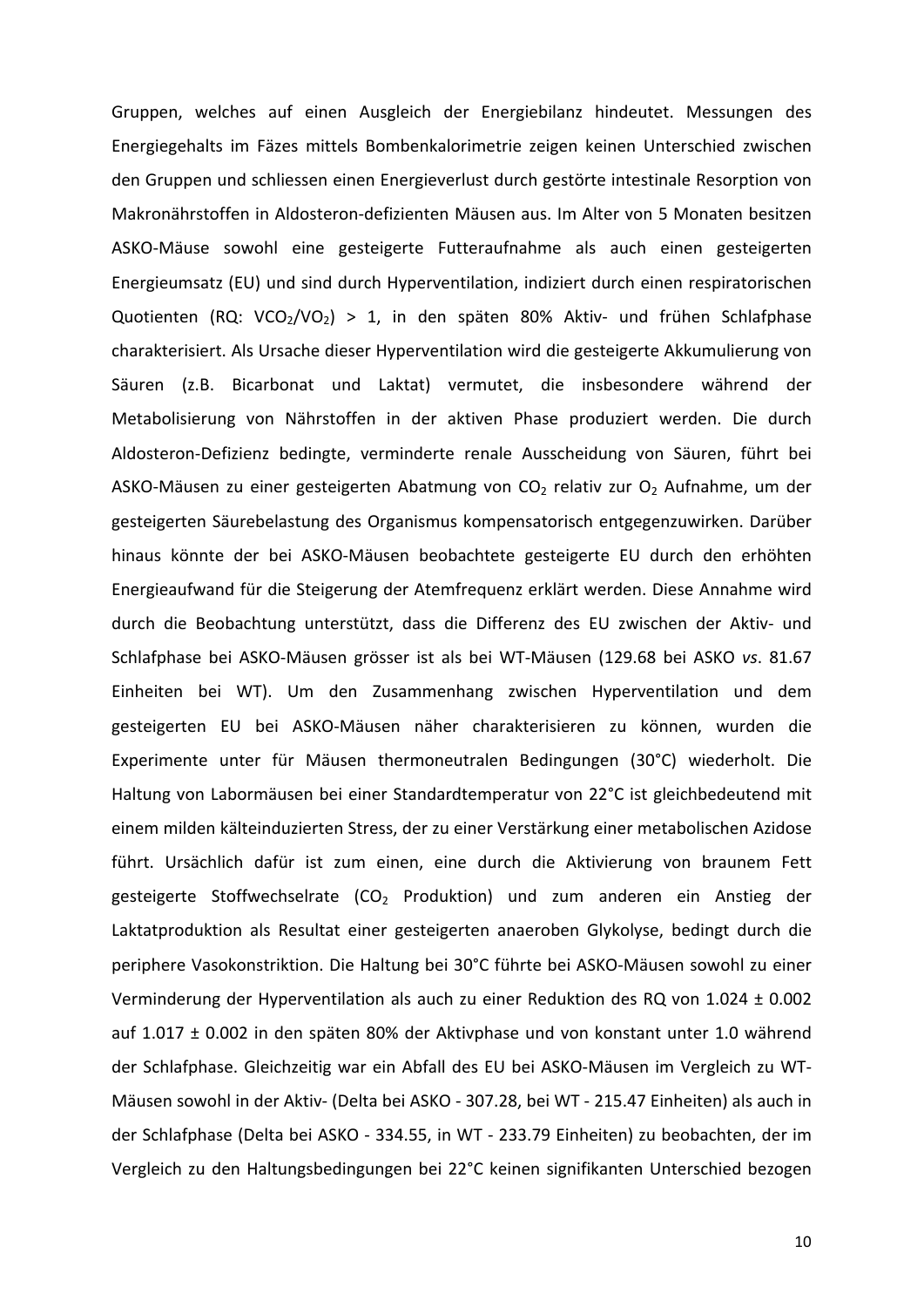Gruppen, welches auf einen Ausgleich der Energiebilanz hindeutet. Messungen des Energiegehalts im Fäzes mittels Bombenkalorimetrie zeigen keinen Unterschied zwischen den Gruppen und schliessen einen Energieverlust durch gestörte intestinale Resorption von Makronährstoffen in Aldosteron-defizienten Mäusen aus. Im Alter von 5 Monaten besitzen ASKO-Mäuse sowohl eine gesteigerte Futteraufnahme als auch einen gesteigerten Energieumsatz (EU) und sind durch Hyperventilation, indiziert durch einen respiratorischen Quotienten (RQ: VCO<sub>2</sub>/VO<sub>2</sub>) > 1, in den späten 80% Aktiv- und frühen Schlafphase charakterisiert. Als Ursache dieser Hyperventilation wird die gesteigerte Akkumulierung von Säuren (z.B. Bicarbonat und Laktat) vermutet, die insbesondere während der Metabolisierung von Nährstoffen in der aktiven Phase produziert werden. Die durch Aldosteron-Defizienz bedingte, verminderte renale Ausscheidung von Säuren, führt bei ASKO-Mäusen zu einer gesteigerten Abatmung von  $CO<sub>2</sub>$  relativ zur  $O<sub>2</sub>$  Aufnahme, um der gesteigerten Säurebelastung des Organismus kompensatorisch entgegenzuwirken. Darüber hinaus könnte der bei ASKO-Mäusen beobachtete gesteigerte EU durch den erhöhten Energieaufwand für die Steigerung der Atemfrequenz erklärt werden. Diese Annahme wird durch die Beobachtung unterstützt, dass die Differenz des EU zwischen der Aktiv- und Schlafphase bei ASKO-Mäusen grösser ist als bei WT-Mäusen (129.68 bei ASKO vs. 81.67 Einheiten bei WT). Um den Zusammenhang zwischen Hyperventilation und dem gesteigerten EU bei ASKO-Mäusen näher charakterisieren zu können, wurden die Experimente unter für Mäusen thermoneutralen Bedingungen (30°C) wiederholt. Die Haltung von Labormäusen bei einer Standardtemperatur von 22°C ist gleichbedeutend mit einem milden kälteinduzierten Stress, der zu einer Verstärkung einer metabolischen Azidose führt. Ursächlich dafür ist zum einen, eine durch die Aktivierung von braunem Fett gesteigerte Stoffwechselrate  $(CO<sub>2</sub>$  Produktion) und zum anderen ein Anstieg der Laktatproduktion als Resultat einer gesteigerten anaeroben Glykolyse, bedingt durch die periphere Vasokonstriktion. Die Haltung bei 30°C führte bei ASKO-Mäusen sowohl zu einer Verminderung der Hyperventilation als auch zu einer Reduktion des RQ von  $1.024 \pm 0.002$ auf  $1.017 \pm 0.002$  in den späten 80% der Aktivphase und von konstant unter 1.0 während der Schlafphase. Gleichzeitig war ein Abfall des EU bei ASKO-Mäusen im Vergleich zu WT-Mäusen sowohl in der Aktiv- (Delta bei ASKO - 307.28, bei WT - 215.47 Einheiten) als auch in der Schlafphase (Delta bei ASKO - 334.55, in WT - 233.79 Einheiten) zu beobachten, der im Vergleich zu den Haltungsbedingungen bei 22°C keinen signifikanten Unterschied bezogen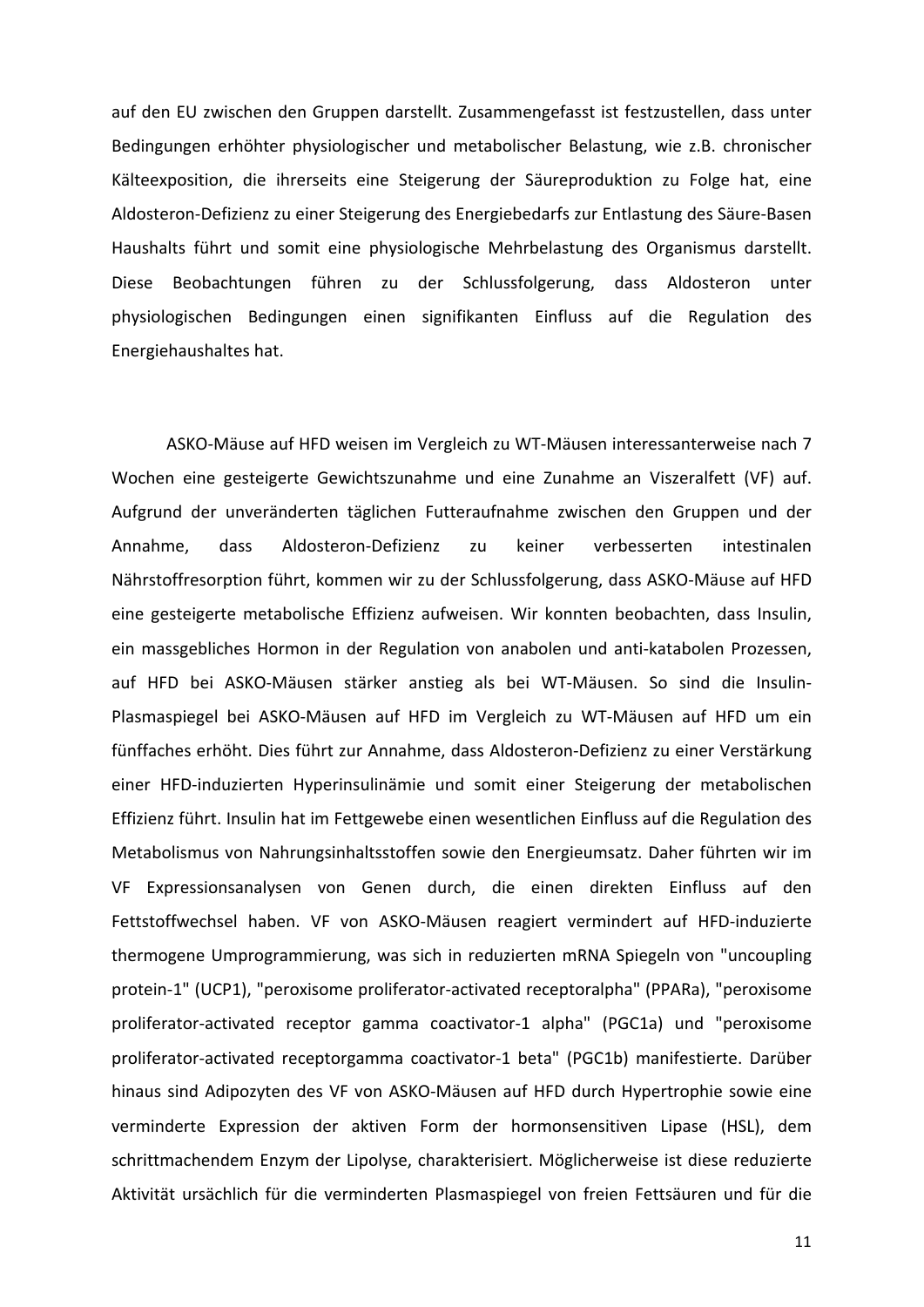auf den EU zwischen den Gruppen darstellt. Zusammengefasst ist festzustellen, dass unter Bedingungen erhöhter physiologischer und metabolischer Belastung, wie z.B. chronischer Kälteexposition, die ihrerseits eine Steigerung der Säureproduktion zu Folge hat, eine Aldosteron-Defizienz zu einer Steigerung des Energiebedarfs zur Entlastung des Säure-Basen Haushalts führt und somit eine physiologische Mehrbelastung des Organismus darstellt. Diese Beobachtungen führen zu der Schlussfolgerung, dass Aldosteron unter physiologischen! Bedingungen! einen! signifikanten! Einfluss! auf! die! Regulation! des! Energiehaushaltes hat.

ASKO-Mäuse auf HFD weisen im Vergleich zu WT-Mäusen interessanterweise nach 7 Wochen eine gesteigerte Gewichtszunahme und eine Zunahme an Viszeralfett (VF) auf. Aufgrund der unveränderten täglichen Futteraufnahme zwischen den Gruppen und der Annahme, dass Aldosteron-Defizienz zu keiner verbesserten intestinalen Nährstoffresorption führt, kommen wir zu der Schlussfolgerung, dass ASKO-Mäuse auf HFD eine gesteigerte metabolische Effizienz aufweisen. Wir konnten beobachten, dass Insulin, ein massgebliches Hormon in der Regulation von anabolen und anti-katabolen Prozessen, auf HFD bei ASKO-Mäusen stärker anstieg als bei WT-Mäusen. So sind die Insulin-Plasmaspiegel bei ASKO-Mäusen auf HFD im Vergleich zu WT-Mäusen auf HFD um ein fünffaches erhöht. Dies führt zur Annahme, dass Aldosteron-Defizienz zu einer Verstärkung einer HFD-induzierten Hyperinsulinämie und somit einer Steigerung der metabolischen Effizienz führt. Insulin hat im Fettgewebe einen wesentlichen Einfluss auf die Regulation des Metabolismus von Nahrungsinhaltsstoffen sowie den Energieumsatz. Daher führten wir im VF Expressionsanalysen von Genen durch, die einen direkten Einfluss auf den Fettstoffwechsel haben. VF von ASKO-Mäusen reagiert vermindert auf HFD-induzierte thermogene Umprogrammierung, was sich in reduzierten mRNA Spiegeln von "uncoupling protein-1" (UCP1), "peroxisome proliferator-activated receptoralpha" (PPARa), "peroxisome proliferator-activated receptor gamma coactivator-1 alpha" (PGC1a) und "peroxisome proliferator-activated receptorgamma coactivator-1 beta" (PGC1b) manifestierte. Darüber hinaus sind Adipozyten des VF von ASKO-Mäusen auf HFD durch Hypertrophie sowie eine verminderte Expression der aktiven Form der hormonsensitiven Lipase (HSL), dem schrittmachendem Enzym der Lipolyse, charakterisiert. Möglicherweise ist diese reduzierte Aktivität ursächlich für die verminderten Plasmaspiegel von freien Fettsäuren und für die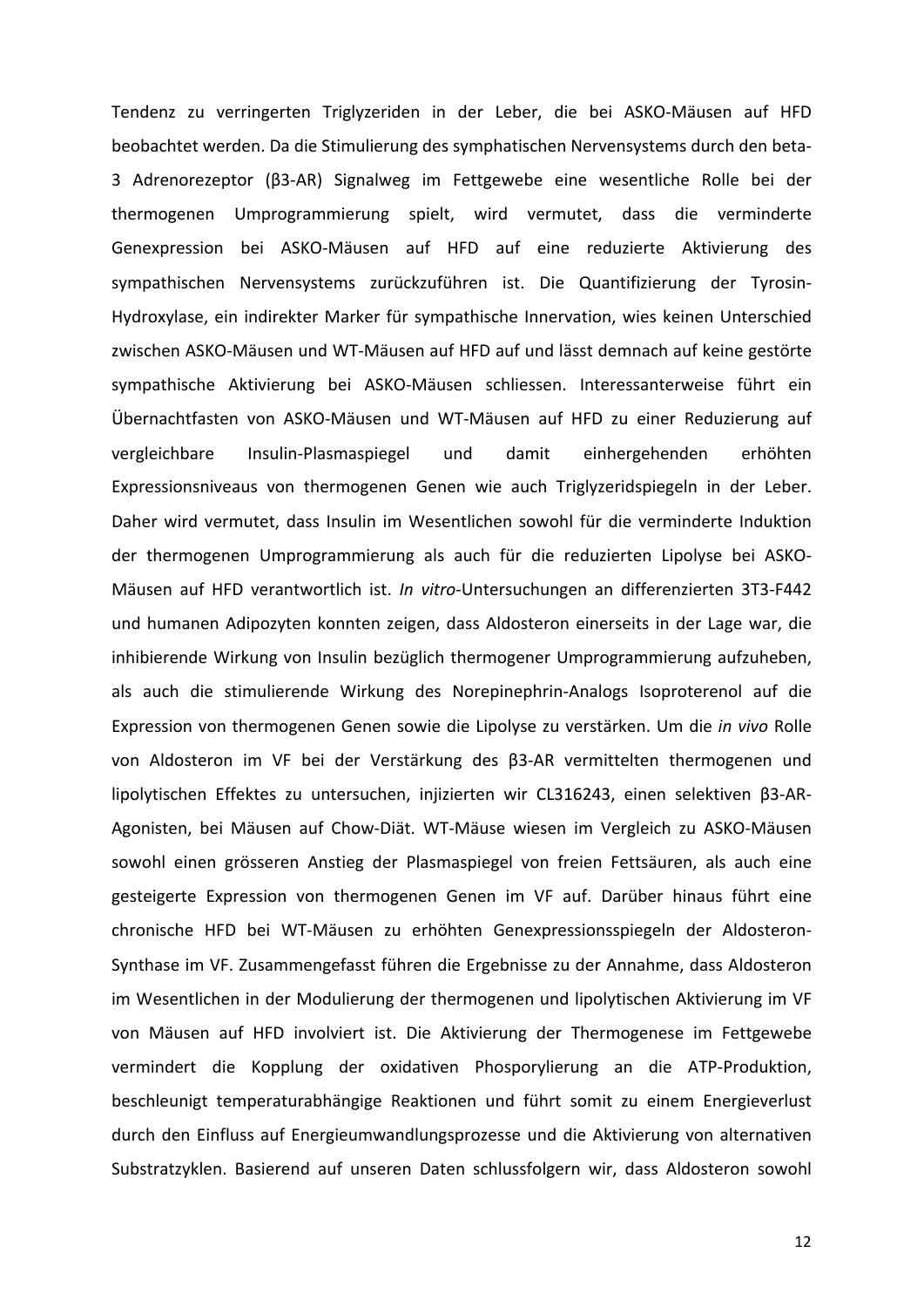Tendenz zu verringerten Triglyzeriden in der Leber, die bei ASKO-Mäusen auf HFD beobachtet werden. Da die Stimulierung des symphatischen Nervensystems durch den beta-3 Adrenorezeptor (β3-AR) Signalweg im Fettgewebe eine wesentliche Rolle bei der thermogenen Umprogrammierung spielt, wird vermutet, dass die verminderte Genexpression bei ASKO-Mäusen auf HFD auf eine reduzierte Aktivierung des sympathischen Nervensystems zurückzuführen ist. Die Quantifizierung der Tyrosin-Hydroxylase, ein indirekter Marker für sympathische Innervation, wies keinen Unterschied zwischen ASKO-Mäusen und WT-Mäusen auf HFD auf und lässt demnach auf keine gestörte sympathische Aktivierung bei ASKO-Mäusen schliessen. Interessanterweise führt ein Übernachtfasten von ASKO-Mäusen und WT-Mäusen auf HFD zu einer Reduzierung auf vergleichbare Insulin-Plasmaspiegel und damit einhergehenden erhöhten Expressionsniveaus von thermogenen Genen wie auch Triglyzeridspiegeln in der Leber. Daher wird vermutet, dass Insulin im Wesentlichen sowohl für die verminderte Induktion der thermogenen Umprogrammierung als auch für die reduzierten Lipolyse bei ASKO-Mäusen auf HFD verantwortlich ist. *In vitro*-Untersuchungen an differenzierten 3T3-F442 und humanen Adipozyten konnten zeigen, dass Aldosteron einerseits in der Lage war, die inhibierende Wirkung von Insulin bezüglich thermogener Umprogrammierung aufzuheben, als auch die stimulierende Wirkung des Norepinephrin-Analogs Isoproterenol auf die Expression von thermogenen Genen sowie die Lipolyse zu verstärken. Um die *in vivo* Rolle von Aldosteron im VF bei der Verstärkung des β3-AR vermittelten thermogenen und lipolytischen Effektes zu untersuchen, injizierten wir CL316243, einen selektiven β3-AR-Agonisten, bei Mäusen auf Chow-Diät. WT-Mäuse wiesen im Vergleich zu ASKO-Mäusen sowohl einen grösseren Anstieg der Plasmaspiegel von freien Fettsäuren, als auch eine gesteigerte Expression von thermogenen Genen im VF auf. Darüber hinaus führt eine chronische HFD bei WT-Mäusen zu erhöhten Genexpressionsspiegeln der Aldosteron-Synthase im VF. Zusammengefasst führen die Ergebnisse zu der Annahme, dass Aldosteron im Wesentlichen in der Modulierung der thermogenen und lipolytischen Aktivierung im VF von Mäusen auf HFD involviert ist. Die Aktivierung der Thermogenese im Fettgewebe vermindert die Kopplung der oxidativen Phosporylierung an die ATP-Produktion, beschleunigt temperaturabhängige Reaktionen und führt somit zu einem Energieverlust durch den Einfluss auf Energieumwandlungsprozesse und die Aktivierung von alternativen Substratzyklen. Basierend auf unseren Daten schlussfolgern wir, dass Aldosteron sowohl